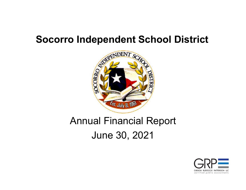

# Annual Financial Report June 30, 2021

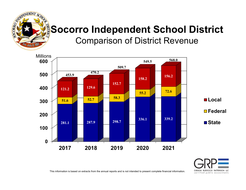

## **Socorro Independent School District** Comparison of District Revenue



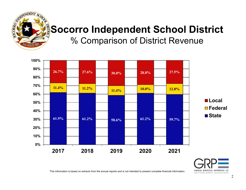

## **Socorro Independent School District** % Comparison of District Revenue



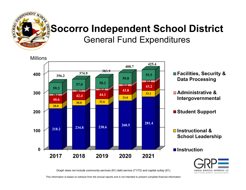

## **Socorro Independent School District** General Fund Expenditures





Graph does not include community services (61) debt service (71/72) and capital outlay (81).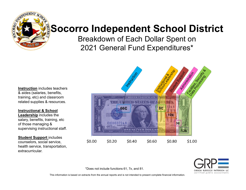

Breakdown of Each Dollar Spent on 2021 General Fund Expenditures\*

**Instruction** includes teachers & aides (salaries, benefits, training, etc) and classroom related supplies & resources.

#### **Instructional & School**

**Leadership** includes the salary, benefits, training, etc of those managing & supervising instructional staff.

**Student Support** includes counselors, social service, health service, transportation, extracurricular.





\*Does not include functions 61, 7x, and 81.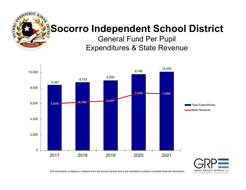

General Fund Per Pupil Expenditures & State Revenue



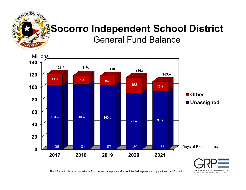

General Fund Balance



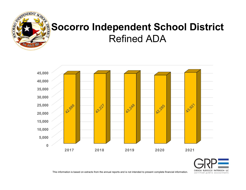

# **Socorro Independent School District** Refined ADA



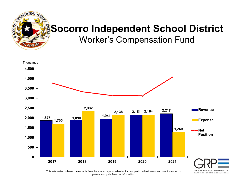

Worker's Compensation Fund



This information is based on extracts from the annual reports, adjusted for prior period adjustments, and is not intended to present complete financial information.

certified public accountants